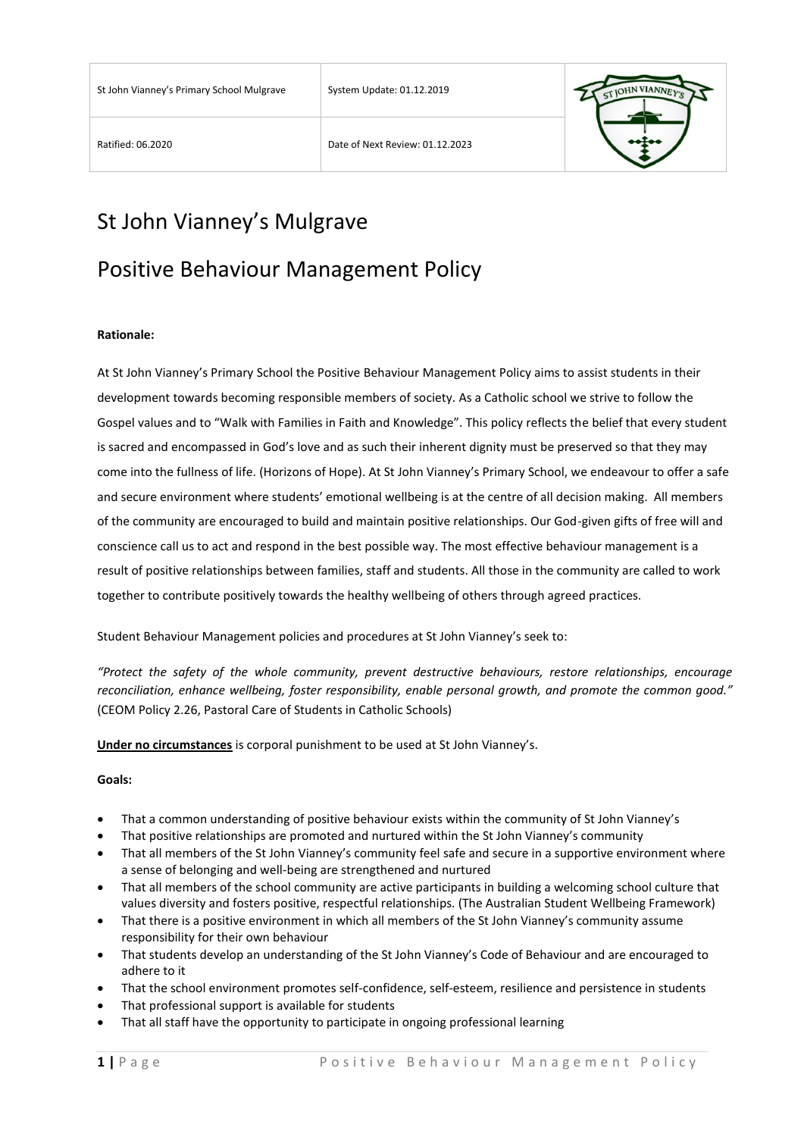

# St John Vianney's Mulgrave

## Positive Behaviour Management Policy

#### **Rationale:**

At St John Vianney's Primary School the Positive Behaviour Management Policy aims to assist students in their development towards becoming responsible members of society. As a Catholic school we strive to follow the Gospel values and to "Walk with Families in Faith and Knowledge". This policy reflects the belief that every student is sacred and encompassed in God's love and as such their inherent dignity must be preserved so that they may come into the fullness of life. (Horizons of Hope). At St John Vianney's Primary School, we endeavour to offer a safe and secure environment where students' emotional wellbeing is at the centre of all decision making. All members of the community are encouraged to build and maintain positive relationships. Our God-given gifts of free will and conscience call us to act and respond in the best possible way. The most effective behaviour management is a result of positive relationships between families, staff and students. All those in the community are called to work together to contribute positively towards the healthy wellbeing of others through agreed practices.

Student Behaviour Management policies and procedures at St John Vianney's seek to:

*"Protect the safety of the whole community, prevent destructive behaviours, restore relationships, encourage reconciliation, enhance wellbeing, foster responsibility, enable personal growth, and promote the common good."*  (CEOM Policy 2.26, Pastoral Care of Students in Catholic Schools)

**Under no circumstances** is corporal punishment to be used at St John Vianney's.

#### **Goals:**

- That a common understanding of positive behaviour exists within the community of St John Vianney's
- That positive relationships are promoted and nurtured within the St John Vianney's community
- That all members of the St John Vianney's community feel safe and secure in a supportive environment where a sense of belonging and well-being are strengthened and nurtured
- That all members of the school community are active participants in building a welcoming school culture that values diversity and fosters positive, respectful relationships. (The Australian Student Wellbeing Framework)
- That there is a positive environment in which all members of the St John Vianney's community assume responsibility for their own behaviour
- That students develop an understanding of the St John Vianney's Code of Behaviour and are encouraged to adhere to it
- That the school environment promotes self-confidence, self-esteem, resilience and persistence in students
- That professional support is available for students
- That all staff have the opportunity to participate in ongoing professional learning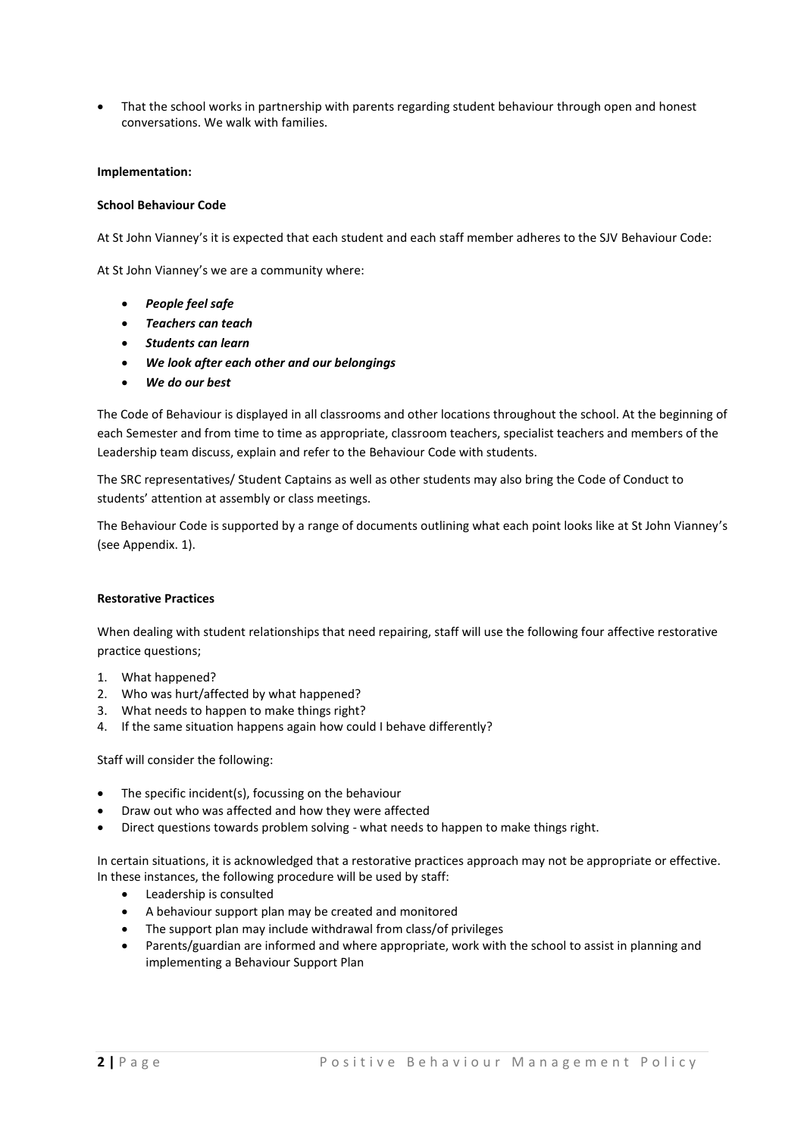That the school works in partnership with parents regarding student behaviour through open and honest conversations. We walk with families.

#### **Implementation:**

#### **School Behaviour Code**

At St John Vianney's it is expected that each student and each staff member adheres to the SJV Behaviour Code:

At St John Vianney's we are a community where:

- *People feel safe*
- *Teachers can teach*
- *Students can learn*
- *We look after each other and our belongings*
- *We do our best*

The Code of Behaviour is displayed in all classrooms and other locations throughout the school. At the beginning of each Semester and from time to time as appropriate, classroom teachers, specialist teachers and members of the Leadership team discuss, explain and refer to the Behaviour Code with students.

The SRC representatives/ Student Captains as well as other students may also bring the Code of Conduct to students' attention at assembly or class meetings.

The Behaviour Code is supported by a range of documents outlining what each point looks like at St John Vianney's (see Appendix. 1).

#### **Restorative Practices**

When dealing with student relationships that need repairing, staff will use the following four affective restorative practice questions;

- 1. What happened?
- 2. Who was hurt/affected by what happened?
- 3. What needs to happen to make things right?
- 4. If the same situation happens again how could I behave differently?

Staff will consider the following:

- The specific incident(s), focussing on the behaviour
- Draw out who was affected and how they were affected
- Direct questions towards problem solving what needs to happen to make things right.

In certain situations, it is acknowledged that a restorative practices approach may not be appropriate or effective. In these instances, the following procedure will be used by staff:

- Leadership is consulted
- A behaviour support plan may be created and monitored
- The support plan may include withdrawal from class/of privileges
- Parents/guardian are informed and where appropriate, work with the school to assist in planning and implementing a Behaviour Support Plan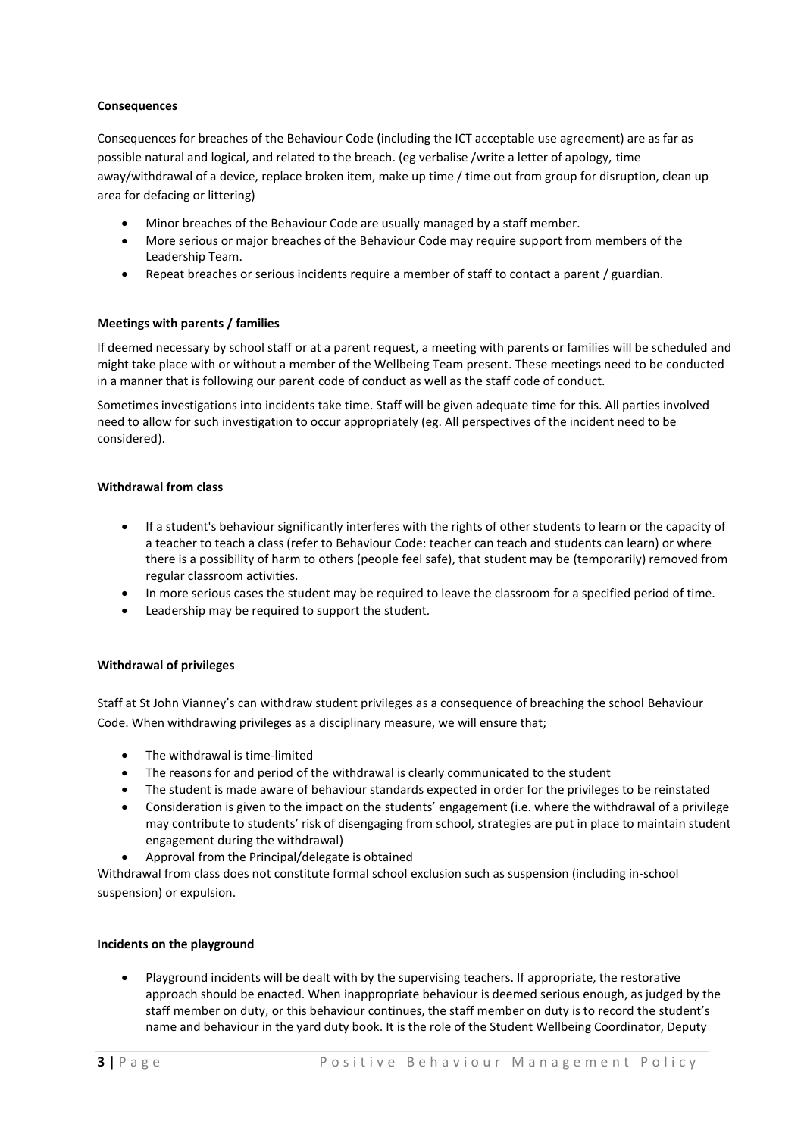#### **Consequences**

Consequences for breaches of the Behaviour Code (including the ICT acceptable use agreement) are as far as possible natural and logical, and related to the breach. (eg verbalise /write a letter of apology, time away/withdrawal of a device, replace broken item, make up time / time out from group for disruption, clean up area for defacing or littering)

- Minor breaches of the Behaviour Code are usually managed by a staff member.
- More serious or major breaches of the Behaviour Code may require support from members of the Leadership Team.
- Repeat breaches or serious incidents require a member of staff to contact a parent / guardian.

#### **Meetings with parents / families**

If deemed necessary by school staff or at a parent request, a meeting with parents or families will be scheduled and might take place with or without a member of the Wellbeing Team present. These meetings need to be conducted in a manner that is following our parent code of conduct as well as the staff code of conduct.

Sometimes investigations into incidents take time. Staff will be given adequate time for this. All parties involved need to allow for such investigation to occur appropriately (eg. All perspectives of the incident need to be considered).

#### **Withdrawal from class**

- If a student's behaviour significantly interferes with the rights of other students to learn or the capacity of a teacher to teach a class (refer to Behaviour Code: teacher can teach and students can learn) or where there is a possibility of harm to others (people feel safe), that student may be (temporarily) removed from regular classroom activities.
- In more serious cases the student may be required to leave the classroom for a specified period of time.
- Leadership may be required to support the student.

#### **Withdrawal of privileges**

Staff at St John Vianney's can withdraw student privileges as a consequence of breaching the school Behaviour Code. When withdrawing privileges as a disciplinary measure, we will ensure that;

- The withdrawal is time-limited
- The reasons for and period of the withdrawal is clearly communicated to the student
- The student is made aware of behaviour standards expected in order for the privileges to be reinstated
- Consideration is given to the impact on the students' engagement (i.e. where the withdrawal of a privilege may contribute to students' risk of disengaging from school, strategies are put in place to maintain student engagement during the withdrawal)
- Approval from the Principal/delegate is obtained

Withdrawal from class does not constitute formal school exclusion such as suspension (including in-school suspension) or expulsion.

#### **Incidents on the playground**

 Playground incidents will be dealt with by the supervising teachers. If appropriate, the restorative approach should be enacted. When inappropriate behaviour is deemed serious enough, as judged by the staff member on duty, or this behaviour continues, the staff member on duty is to record the student's name and behaviour in the yard duty book. It is the role of the Student Wellbeing Coordinator, Deputy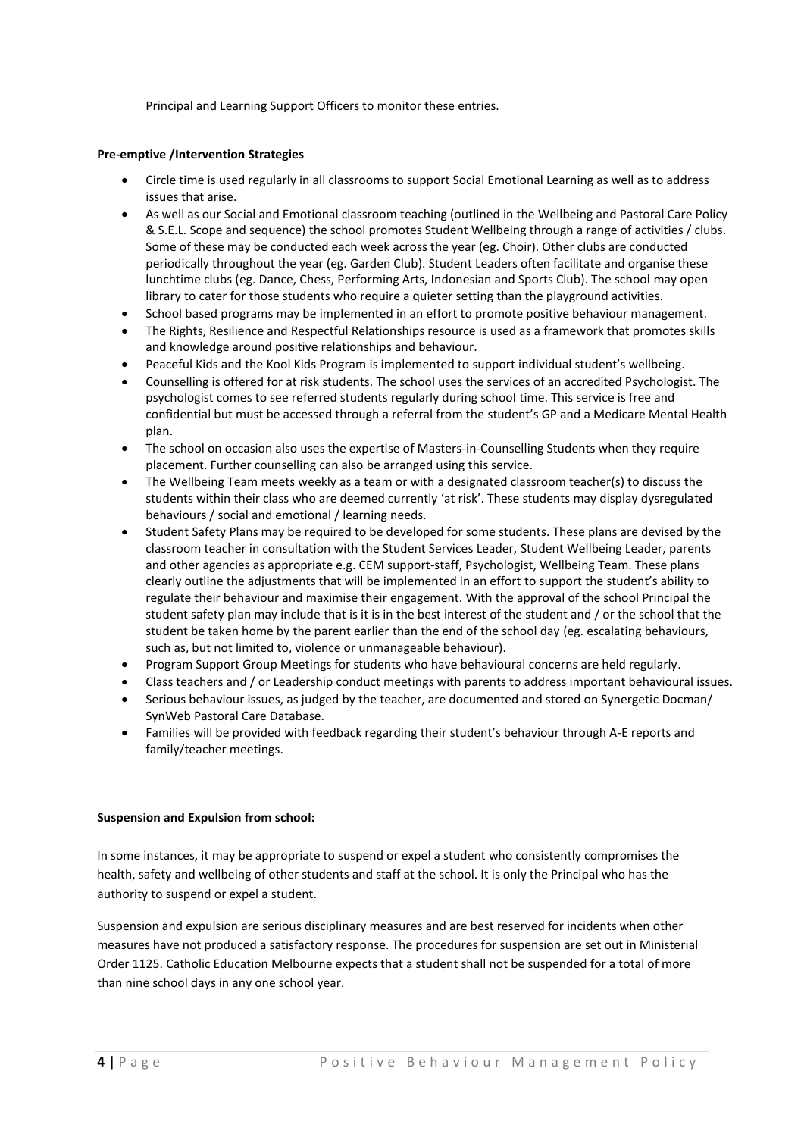Principal and Learning Support Officers to monitor these entries.

#### **Pre-emptive /Intervention Strategies**

- Circle time is used regularly in all classrooms to support Social Emotional Learning as well as to address issues that arise.
- As well as our Social and Emotional classroom teaching (outlined in the Wellbeing and Pastoral Care Policy & S.E.L. Scope and sequence) the school promotes Student Wellbeing through a range of activities / clubs. Some of these may be conducted each week across the year (eg. Choir). Other clubs are conducted periodically throughout the year (eg. Garden Club). Student Leaders often facilitate and organise these lunchtime clubs (eg. Dance, Chess, Performing Arts, Indonesian and Sports Club). The school may open library to cater for those students who require a quieter setting than the playground activities.
- School based programs may be implemented in an effort to promote positive behaviour management.
- The Rights, Resilience and Respectful Relationships resource is used as a framework that promotes skills and knowledge around positive relationships and behaviour.
- Peaceful Kids and the Kool Kids Program is implemented to support individual student's wellbeing.
- Counselling is offered for at risk students. The school uses the services of an accredited Psychologist. The psychologist comes to see referred students regularly during school time. This service is free and confidential but must be accessed through a referral from the student's GP and a Medicare Mental Health plan.
- The school on occasion also uses the expertise of Masters-in-Counselling Students when they require placement. Further counselling can also be arranged using this service.
- The Wellbeing Team meets weekly as a team or with a designated classroom teacher(s) to discuss the students within their class who are deemed currently 'at risk'. These students may display dysregulated behaviours / social and emotional / learning needs.
- Student Safety Plans may be required to be developed for some students. These plans are devised by the classroom teacher in consultation with the Student Services Leader, Student Wellbeing Leader, parents and other agencies as appropriate e.g. CEM support-staff, Psychologist, Wellbeing Team. These plans clearly outline the adjustments that will be implemented in an effort to support the student's ability to regulate their behaviour and maximise their engagement. With the approval of the school Principal the student safety plan may include that is it is in the best interest of the student and / or the school that the student be taken home by the parent earlier than the end of the school day (eg. escalating behaviours, such as, but not limited to, violence or unmanageable behaviour).
- Program Support Group Meetings for students who have behavioural concerns are held regularly.
- Class teachers and / or Leadership conduct meetings with parents to address important behavioural issues.
- Serious behaviour issues, as judged by the teacher, are documented and stored on Synergetic Docman/ SynWeb Pastoral Care Database.
- Families will be provided with feedback regarding their student's behaviour through A-E reports and family/teacher meetings.

#### **Suspension and Expulsion from school:**

In some instances, it may be appropriate to suspend or expel a student who consistently compromises the health, safety and wellbeing of other students and staff at the school. It is only the Principal who has the authority to suspend or expel a student.

Suspension and expulsion are serious disciplinary measures and are best reserved for incidents when other measures have not produced a satisfactory response. The procedures for suspension are set out in Ministerial Order 1125. Catholic Education Melbourne expects that a student shall not be suspended for a total of more than nine school days in any one school year.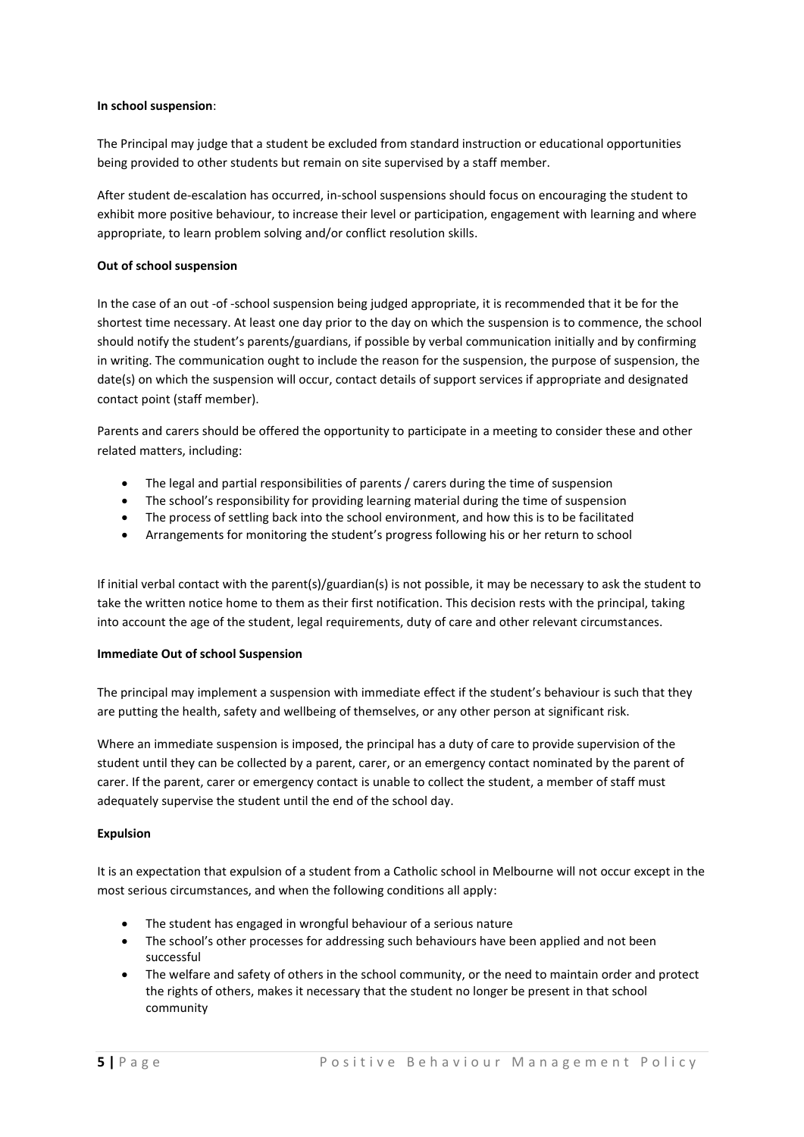#### **In school suspension**:

The Principal may judge that a student be excluded from standard instruction or educational opportunities being provided to other students but remain on site supervised by a staff member.

After student de-escalation has occurred, in-school suspensions should focus on encouraging the student to exhibit more positive behaviour, to increase their level or participation, engagement with learning and where appropriate, to learn problem solving and/or conflict resolution skills.

#### **Out of school suspension**

In the case of an out -of -school suspension being judged appropriate, it is recommended that it be for the shortest time necessary. At least one day prior to the day on which the suspension is to commence, the school should notify the student's parents/guardians, if possible by verbal communication initially and by confirming in writing. The communication ought to include the reason for the suspension, the purpose of suspension, the date(s) on which the suspension will occur, contact details of support services if appropriate and designated contact point (staff member).

Parents and carers should be offered the opportunity to participate in a meeting to consider these and other related matters, including:

- The legal and partial responsibilities of parents / carers during the time of suspension
- The school's responsibility for providing learning material during the time of suspension
- The process of settling back into the school environment, and how this is to be facilitated
- Arrangements for monitoring the student's progress following his or her return to school

If initial verbal contact with the parent(s)/guardian(s) is not possible, it may be necessary to ask the student to take the written notice home to them as their first notification. This decision rests with the principal, taking into account the age of the student, legal requirements, duty of care and other relevant circumstances.

#### **Immediate Out of school Suspension**

The principal may implement a suspension with immediate effect if the student's behaviour is such that they are putting the health, safety and wellbeing of themselves, or any other person at significant risk.

Where an immediate suspension is imposed, the principal has a duty of care to provide supervision of the student until they can be collected by a parent, carer, or an emergency contact nominated by the parent of carer. If the parent, carer or emergency contact is unable to collect the student, a member of staff must adequately supervise the student until the end of the school day.

#### **Expulsion**

It is an expectation that expulsion of a student from a Catholic school in Melbourne will not occur except in the most serious circumstances, and when the following conditions all apply:

- The student has engaged in wrongful behaviour of a serious nature
- The school's other processes for addressing such behaviours have been applied and not been successful
- The welfare and safety of others in the school community, or the need to maintain order and protect the rights of others, makes it necessary that the student no longer be present in that school community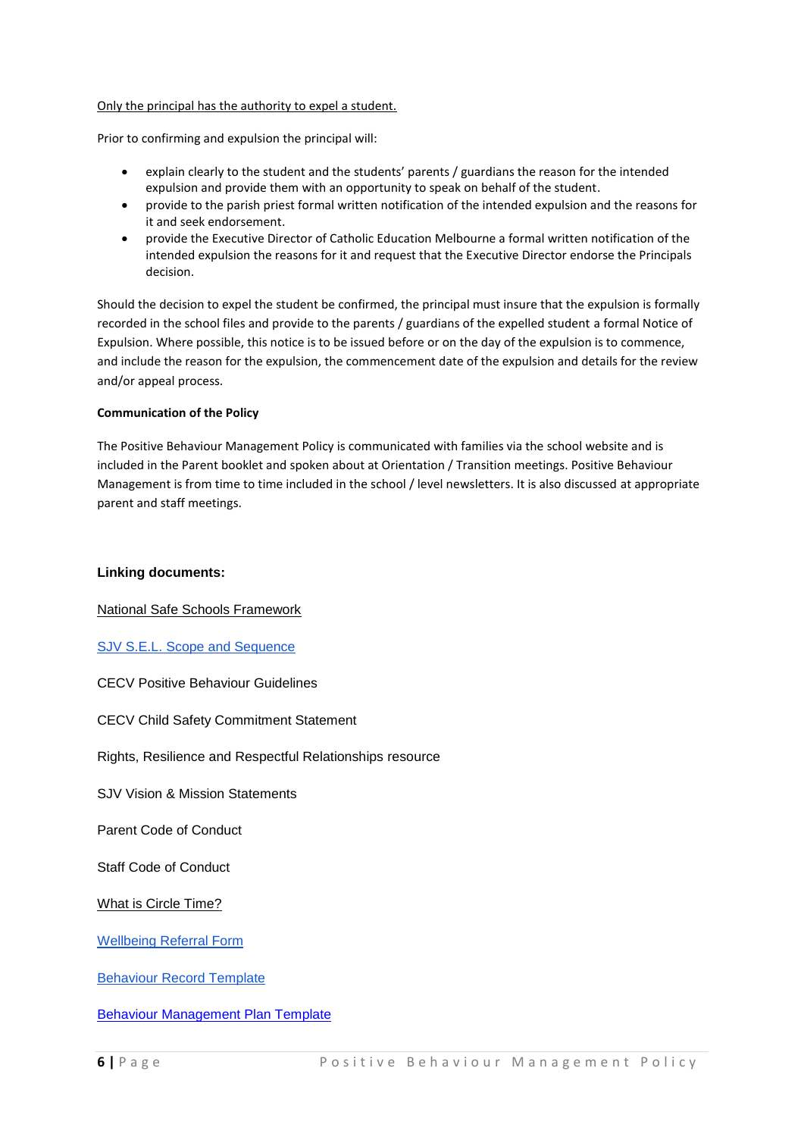#### Only the principal has the authority to expel a student.

Prior to confirming and expulsion the principal will:

- explain clearly to the student and the students' parents / guardians the reason for the intended expulsion and provide them with an opportunity to speak on behalf of the student.
- provide to the parish priest formal written notification of the intended expulsion and the reasons for it and seek endorsement.
- provide the Executive Director of Catholic Education Melbourne a formal written notification of the intended expulsion the reasons for it and request that the Executive Director endorse the Principals decision.

Should the decision to expel the student be confirmed, the principal must insure that the expulsion is formally recorded in the school files and provide to the parents / guardians of the expelled student a formal Notice of Expulsion. Where possible, this notice is to be issued before or on the day of the expulsion is to commence, and include the reason for the expulsion, the commencement date of the expulsion and details for the review and/or appeal process.

#### **Communication of the Policy**

The Positive Behaviour Management Policy is communicated with families via the school website and is included in the Parent booklet and spoken about at Orientation / Transition meetings. Positive Behaviour Management is from time to time included in the school / level newsletters. It is also discussed at appropriate parent and staff meetings.

#### **Linking documents:**

[National Safe Schools Framework](https://www.education.gov.au/national-safe-schools-framework-0)

[SJV S.E.L. Scope and Sequence](https://docs.google.com/document/d/1UXRtt6-NUHm7DY0iVOPL2I3pvLxGDgUXwRC83cM0FO8/edit)

CECV Positive Behaviour Guidelines

CECV Child Safety Commitment Statement

Rights, Resilience and Respectful Relationships resource

SJV Vision & Mission Statements

Parent Code of Conduct

Staff Code of Conduct

[What is Circle Time?](https://docs.google.com/document/d/1Z3y3TYysJ59896rQhEnyiOrJmkcwKk7gAQ5tl2bmYKo/edit)

[Wellbeing Referral Form](https://drive.google.com/file/d/1vx3VRzrS4P6qQfGe2APzmVJ187NBlLjf/view)

[Behaviour Record](https://drive.google.com/file/d/1ulSHaiSQwUsLPE5M4acqeVAb4XIMJ00r/view) Template

[Behaviour Management Plan Template](https://drive.google.com/file/d/1dOkp3Ni8918vLB1urtx-38hvExA3yPiL/view)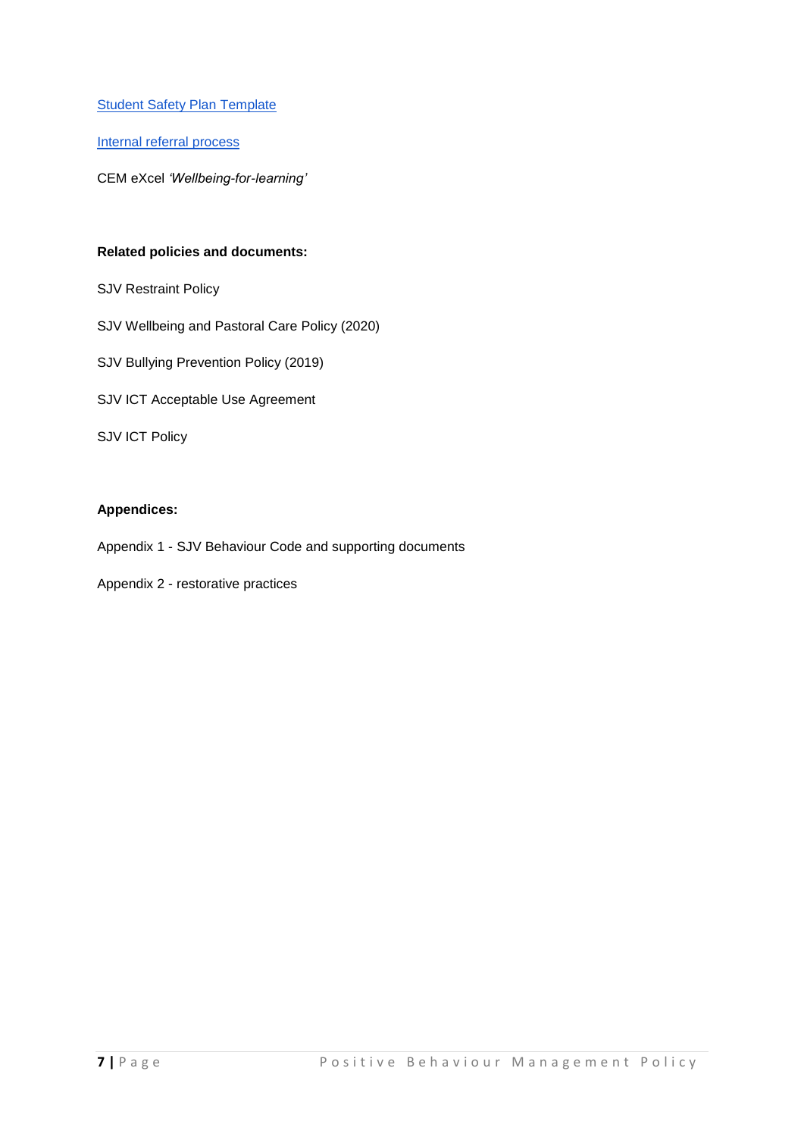**[Student Safety Plan Template](https://drive.google.com/file/d/1H1eTgjNjCBo6_tOIJM8yJmjDb3LvXiiV/view)** 

[Internal referral process](https://drive.google.com/file/d/1ucftHlN8R_q0U0c9iQifcz__N2t9ke14/view)

CEM eXcel *'Wellbeing-for-learning'*

## **Related policies and documents:**

- SJV Restraint Policy
- SJV Wellbeing and Pastoral Care Policy (2020)
- SJV Bullying Prevention Policy (2019)
- SJV ICT Acceptable Use Agreement

SJV ICT Policy

### **Appendices:**

Appendix 1 - SJV Behaviour Code and supporting documents

Appendix 2 - restorative practices